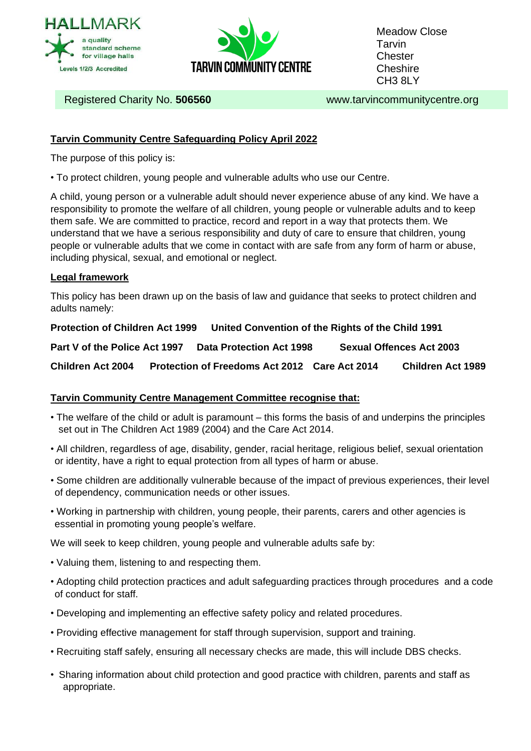



Meadow Close **Tarvin Chester Cheshire** CH3 8LY

Registered Charity No. **506560** www.tarvincommunitycentre.org

## **Tarvin Community Centre Safeguarding Policy April 2022**

The purpose of this policy is:

• To protect children, young people and vulnerable adults who use our Centre.

A child, young person or a vulnerable adult should never experience abuse of any kind. We have a responsibility to promote the welfare of all children, young people or vulnerable adults and to keep them safe. We are committed to practice, record and report in a way that protects them. We understand that we have a serious responsibility and duty of care to ensure that children, young people or vulnerable adults that we come in contact with are safe from any form of harm or abuse, including physical, sexual, and emotional or neglect.

## **Legal framework**

This policy has been drawn up on the basis of law and guidance that seeks to protect children and adults namely:

**Protection of Children Act 1999 United Convention of the Rights of the Child 1991**

**Part V of the Police Act 1997 Data Protection Act 1998 Sexual Offences Act 2003**

**Children Act 2004 Protection of Freedoms Act 2012 Care Act 2014 Children Act 1989**

## **Tarvin Community Centre Management Committee recognise that:**

- The welfare of the child or adult is paramount this forms the basis of and underpins the principles set out in The Children Act 1989 (2004) and the Care Act 2014.
- All children, regardless of age, disability, gender, racial heritage, religious belief, sexual orientation or identity, have a right to equal protection from all types of harm or abuse.
- Some children are additionally vulnerable because of the impact of previous experiences, their level of dependency, communication needs or other issues.
- Working in partnership with children, young people, their parents, carers and other agencies is essential in promoting young people's welfare.

We will seek to keep children, young people and vulnerable adults safe by:

- Valuing them, listening to and respecting them.
- Adopting child protection practices and adult safeguarding practices through procedures and a code of conduct for staff.
- Developing and implementing an effective safety policy and related procedures.
- Providing effective management for staff through supervision, support and training.
- Recruiting staff safely, ensuring all necessary checks are made, this will include DBS checks.
- Sharing information about child protection and good practice with children, parents and staff as appropriate.